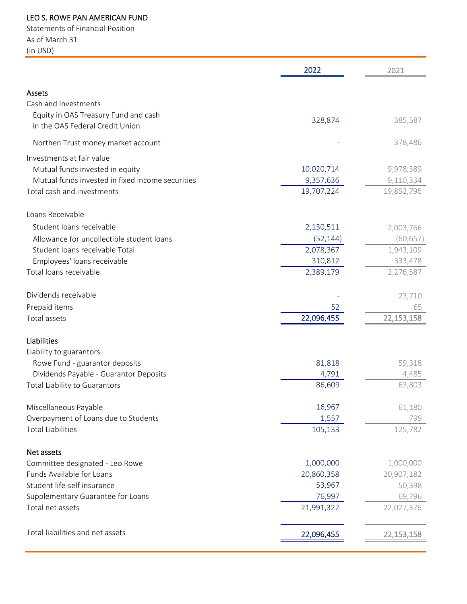## LEO S. ROWE PAN AMERICAN FUND

Statements of Financial Position As of March 31 (in USD)

|                                                                         | 2022       | 2021         |
|-------------------------------------------------------------------------|------------|--------------|
| Assets                                                                  |            |              |
| Cash and Investments                                                    |            |              |
| Equity in OAS Treasury Fund and cash<br>in the OAS Federal Credit Union | 328,874    | 385,587      |
| Northen Trust money market account                                      |            | 378,486      |
| Investments at fair value                                               |            |              |
| Mutual funds invested in equity                                         | 10,020,714 | 9,978,389    |
| Mutual funds invested in fixed income securities                        | 9,357,636  | 9,110,334    |
| Total cash and investments                                              | 19,707,224 | 19,852,796   |
| Loans Receivable                                                        |            |              |
| Student loans receivable                                                | 2,130,511  | 2,003,766    |
| Allowance for uncollectible student loans                               | (52, 144)  | (60, 657)    |
| Student loans receivable Total                                          | 2,078,367  | 1,943,109    |
| Employees' loans receivable                                             | 310,812    | 333,478      |
| Total loans receivable                                                  | 2,389,179  | 2,276,587    |
| Dividends receivable                                                    |            | 23,710       |
| Prepaid items                                                           | 52         | 65           |
| Total assets                                                            | 22,096,455 | 22,153,158   |
| Liabilities                                                             |            |              |
| Liability to guarantors                                                 |            |              |
| Rowe Fund - guarantor deposits                                          | 81,818     | 59,318       |
| Dividends Payable - Guarantor Deposits                                  | 4,791      | 4,485        |
| Total Liability to Guarantors                                           | 86,609     | 63,803       |
| Miscellaneous Payable                                                   | 16,967     | 61,180       |
| Overpayment of Loans due to Students                                    | 1,557      | 799          |
| <b>Total Liabilities</b>                                                | 105,133    | 125,782      |
| Net assets                                                              |            |              |
| Committee designated - Leo Rowe                                         | 1,000,000  | 1,000,000    |
| Funds Available for Loans                                               | 20,860,358 | 20,907,182   |
| Student life-self insurance                                             | 53,967     | 50,398       |
| Supplementary Guarantee for Loans                                       | 76,997     | 69,796       |
| Total net assets                                                        | 21,991,322 | 22,027,376   |
| Total liabilities and net assets                                        | 22,096,455 | 22, 153, 158 |
|                                                                         |            |              |